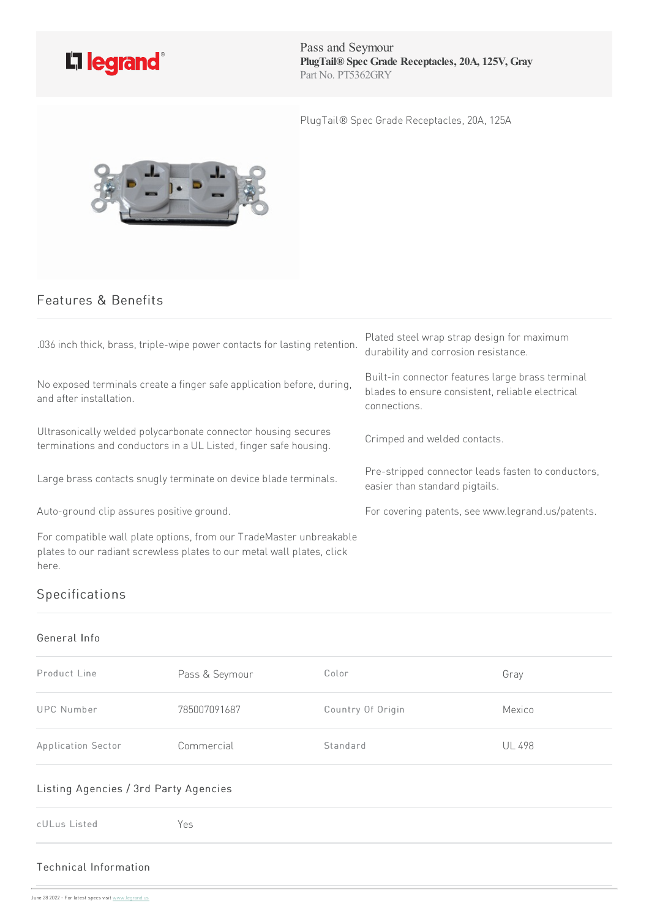

Pass and Seymour **PlugTail® Spec Grade Receptacles, 20A, 125V, Gray** Part No. PT5362GRY

PlugTail® Spec Grade Receptacles, 20A, 125A



# Features & Benefits

| .036 inch thick, brass, triple-wipe power contacts for lasting retention.                                                                              | Plated steel wrap strap design for maximum<br>durability and corrosion resistance.                                   |
|--------------------------------------------------------------------------------------------------------------------------------------------------------|----------------------------------------------------------------------------------------------------------------------|
| No exposed terminals create a finger safe application before, during,<br>and after installation.                                                       | Built-in connector features large brass terminal<br>blades to ensure consistent, reliable electrical<br>connections. |
| Ultrasonically welded polycarbonate connector housing secures<br>terminations and conductors in a UL Listed, finger safe housing.                      | Crimped and welded contacts.                                                                                         |
| Large brass contacts snugly terminate on device blade terminals.                                                                                       | Pre-stripped connector leads fasten to conductors,<br>easier than standard pigtails.                                 |
| Auto-ground clip assures positive ground.                                                                                                              | For covering patents, see www.legrand.us/patents.                                                                    |
| For compatible wall plate options, from our TradeMaster unbreakable<br>plates to our radiant screwless plates to our metal wall plates, click<br>here. |                                                                                                                      |

# Specifications

#### General Info

| Product Line       | Pass & Seymour | Color             | Gray          |
|--------------------|----------------|-------------------|---------------|
| <b>UPC Number</b>  | 785007091687   | Country Of Origin | Mexico        |
| Application Sector | Commercial     | Standard          | <b>UL 498</b> |

### Listing Agencies / 3rd Party Agencies

|--|--|

## Technical Info[rmation](https://www.legrand.us)